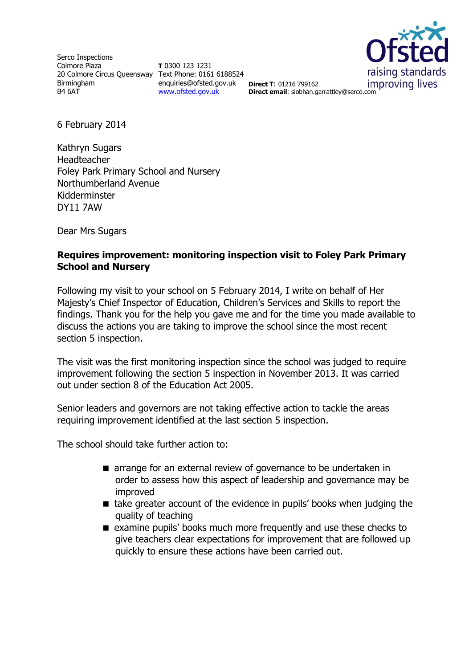Serco Inspections Colmore Plaza 20 Colmore Circus Queensway Text Phone: 0161 6188524 Birmingham B4 6AT

**T** 0300 123 1231 enquiries@ofsted.gov.uk **Direct T**: 01216 799162 [www.ofsted.gov.uk](http://www.ofsted.gov.uk/)



**Direct email**: siobhan.garrattley@serco.com

6 February 2014

Kathryn Sugars Headteacher Foley Park Primary School and Nursery Northumberland Avenue Kidderminster DY11 7AW

Dear Mrs Sugars

### **Requires improvement: monitoring inspection visit to Foley Park Primary School and Nursery**

Following my visit to your school on 5 February 2014, I write on behalf of Her Majesty's Chief Inspector of Education, Children's Services and Skills to report the findings. Thank you for the help you gave me and for the time you made available to discuss the actions you are taking to improve the school since the most recent section 5 inspection.

The visit was the first monitoring inspection since the school was judged to require improvement following the section 5 inspection in November 2013. It was carried out under section 8 of the Education Act 2005.

Senior leaders and governors are not taking effective action to tackle the areas requiring improvement identified at the last section 5 inspection.

The school should take further action to:

- **E** arrange for an external review of governance to be undertaken in order to assess how this aspect of leadership and governance may be improved
- take greater account of the evidence in pupils' books when judging the quality of teaching
- **E** examine pupils' books much more frequently and use these checks to give teachers clear expectations for improvement that are followed up quickly to ensure these actions have been carried out.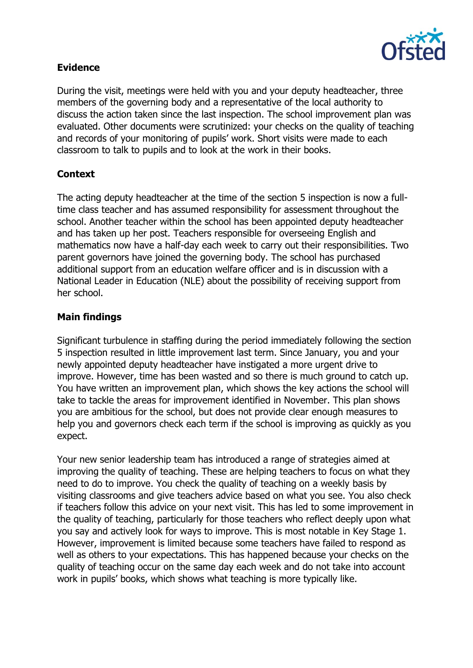

## **Evidence**

During the visit, meetings were held with you and your deputy headteacher, three members of the governing body and a representative of the local authority to discuss the action taken since the last inspection. The school improvement plan was evaluated. Other documents were scrutinized: your checks on the quality of teaching and records of your monitoring of pupils' work. Short visits were made to each classroom to talk to pupils and to look at the work in their books.

## **Context**

The acting deputy headteacher at the time of the section 5 inspection is now a fulltime class teacher and has assumed responsibility for assessment throughout the school. Another teacher within the school has been appointed deputy headteacher and has taken up her post. Teachers responsible for overseeing English and mathematics now have a half-day each week to carry out their responsibilities. Two parent governors have joined the governing body. The school has purchased additional support from an education welfare officer and is in discussion with a National Leader in Education (NLE) about the possibility of receiving support from her school.

## **Main findings**

Significant turbulence in staffing during the period immediately following the section 5 inspection resulted in little improvement last term. Since January, you and your newly appointed deputy headteacher have instigated a more urgent drive to improve. However, time has been wasted and so there is much ground to catch up. You have written an improvement plan, which shows the key actions the school will take to tackle the areas for improvement identified in November. This plan shows you are ambitious for the school, but does not provide clear enough measures to help you and governors check each term if the school is improving as quickly as you expect.

Your new senior leadership team has introduced a range of strategies aimed at improving the quality of teaching. These are helping teachers to focus on what they need to do to improve. You check the quality of teaching on a weekly basis by visiting classrooms and give teachers advice based on what you see. You also check if teachers follow this advice on your next visit. This has led to some improvement in the quality of teaching, particularly for those teachers who reflect deeply upon what you say and actively look for ways to improve. This is most notable in Key Stage 1. However, improvement is limited because some teachers have failed to respond as well as others to your expectations. This has happened because your checks on the quality of teaching occur on the same day each week and do not take into account work in pupils' books, which shows what teaching is more typically like.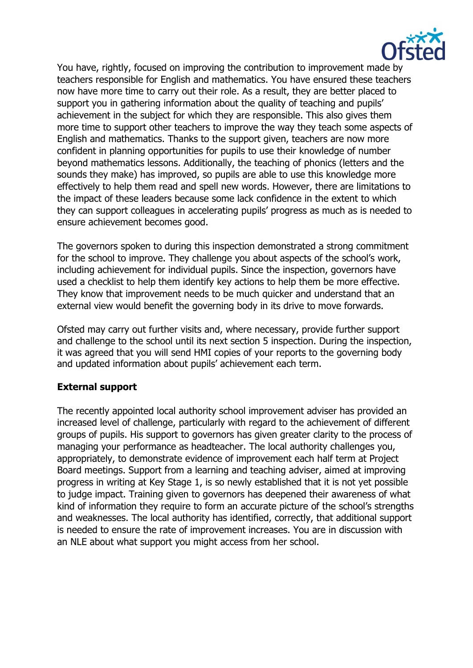

You have, rightly, focused on improving the contribution to improvement made by teachers responsible for English and mathematics. You have ensured these teachers now have more time to carry out their role. As a result, they are better placed to support you in gathering information about the quality of teaching and pupils' achievement in the subject for which they are responsible. This also gives them more time to support other teachers to improve the way they teach some aspects of English and mathematics. Thanks to the support given, teachers are now more confident in planning opportunities for pupils to use their knowledge of number beyond mathematics lessons. Additionally, the teaching of phonics (letters and the sounds they make) has improved, so pupils are able to use this knowledge more effectively to help them read and spell new words. However, there are limitations to the impact of these leaders because some lack confidence in the extent to which they can support colleagues in accelerating pupils' progress as much as is needed to ensure achievement becomes good.

The governors spoken to during this inspection demonstrated a strong commitment for the school to improve. They challenge you about aspects of the school's work, including achievement for individual pupils. Since the inspection, governors have used a checklist to help them identify key actions to help them be more effective. They know that improvement needs to be much quicker and understand that an external view would benefit the governing body in its drive to move forwards.

Ofsted may carry out further visits and, where necessary, provide further support and challenge to the school until its next section 5 inspection. During the inspection, it was agreed that you will send HMI copies of your reports to the governing body and updated information about pupils' achievement each term.

# **External support**

The recently appointed local authority school improvement adviser has provided an increased level of challenge, particularly with regard to the achievement of different groups of pupils. His support to governors has given greater clarity to the process of managing your performance as headteacher. The local authority challenges you, appropriately, to demonstrate evidence of improvement each half term at Project Board meetings. Support from a learning and teaching adviser, aimed at improving progress in writing at Key Stage 1, is so newly established that it is not yet possible to judge impact. Training given to governors has deepened their awareness of what kind of information they require to form an accurate picture of the school's strengths and weaknesses. The local authority has identified, correctly, that additional support is needed to ensure the rate of improvement increases. You are in discussion with an NLE about what support you might access from her school.